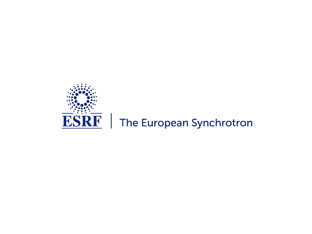

## $\overline{\textbf{ESRF}}$  | The European Synchrotron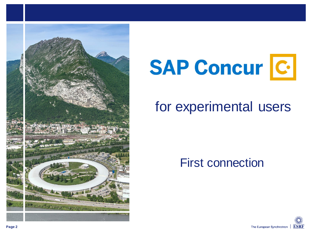

# **SAP Concur C.**

## for experimental users

First connection

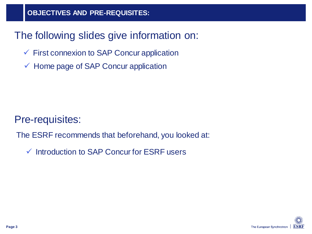## The following slides give information on:

- $\checkmark$  First connexion to SAP Concur application
- $\checkmark$  Home page of SAP Concur application

Pre-requisites:

The ESRF recommends that beforehand, you looked at:

 $\checkmark$  Introduction to SAP Concur for ESRF users

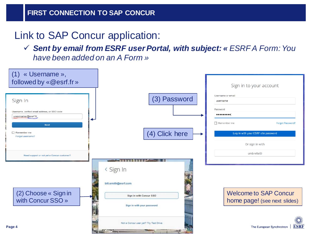## Link to SAP Concur application:

 *Sent by email from ESRF user Portal, with subject: « ESRF A Form: You have been added on an A Form »*

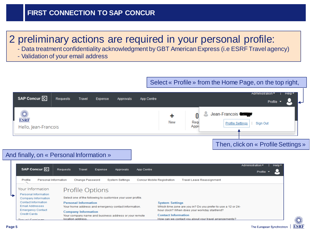### 2 preliminary actions are required in your personal profile:

- Data treatment confidentiality acknowledgment by GBT American Express (i.e ESRF Travel agency)
- Validation of your email address

#### Select « Profile » from the Home Page, on the top right,





ESRE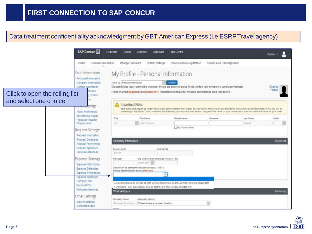#### Data treatment confidentiality acknowledgment by GBT American Express (i.e ESRF Travel agency)

|                                | SAP Concur<br>Requests                                                                                               | Travel                                    | Expense<br>Approvals                                                              | App Centre                                                                                                                                                                                                                                                                                                                                               |                           |           | Protie *          |
|--------------------------------|----------------------------------------------------------------------------------------------------------------------|-------------------------------------------|-----------------------------------------------------------------------------------|----------------------------------------------------------------------------------------------------------------------------------------------------------------------------------------------------------------------------------------------------------------------------------------------------------------------------------------------------------|---------------------------|-----------|-------------------|
|                                | Personal Information<br>Profile                                                                                      | Change Password                           | System Settings                                                                   | Concur Mobile Registration                                                                                                                                                                                                                                                                                                                               | Travel Leave Reassignment |           |                   |
| Click to open the rolling list | Your Information<br>Personal Information<br>Company Information<br>Contact Information<br><b>resses</b><br>y Contact | Jump To: Personal Information             | My Profile - Personal Information                                                 | Choose<br>Disabled fields (grey) cannot be changed. If there are errors in these fields, contact your company's travel administrator.<br>Fields marked(Required) and (Required <sup>®+</sup> ) (validated and required) must be completed to save your profile.                                                                                          |                           |           | Change<br>Picture |
| and select one choice          | <del>iaverse</del> ttings<br><b>Travel Preferences</b>                                                               | Important Note                            |                                                                                   | Your Name and Airport Security: Please make certain that the first, middle and last names shown below are identical to those on the photo identification that you will be<br>presenting at the alrport. Oue to increased alrport security, you may be turned away at the gate if the name on your identification does not match the name on your ticket. |                           |           |                   |
|                                | International Travel<br>Frequent-Traveller                                                                           | Title                                     | First Name                                                                        | Middle Name                                                                                                                                                                                                                                                                                                                                              | Nickname                  | Last Name | Suffix            |
|                                | Programmes                                                                                                           | 14                                        | Just-Francis's                                                                    | No filiddle Name                                                                                                                                                                                                                                                                                                                                         |                           | Drayel.   |                   |
|                                | Request Settings<br>Request Information<br>Request Delegates<br>Request Preferences                                  | Company Information                       |                                                                                   |                                                                                                                                                                                                                                                                                                                                                          |                           |           | Go to top         |
|                                | Request Approvers<br>Favourite Attendees                                                                             | Employee ID<br>DYNE47                     | Cost Cantre                                                                       |                                                                                                                                                                                                                                                                                                                                                          |                           |           |                   |
|                                | Expense Settings<br>Expense Information                                                                              | Manager                                   | Org. Unit/Division Employee Position/Title<br>EDM NOV                             |                                                                                                                                                                                                                                                                                                                                                          |                           |           |                   |
|                                | Expense Delegates<br>Expense Preferences                                                                             | Privacy Statement (link above) Plequired) | Declaration de confidentialité (lien di-dessus) / GBT's                           |                                                                                                                                                                                                                                                                                                                                                          |                           |           |                   |
|                                | Expense Approvers<br>Company Car<br>Personal Car<br>Favourite Attendees                                              | <b>Work Address</b>                       | I understand - GBT's services use data as described at http://privacy.amergbt.com | As obreprends our les services de GBT utilisent les données décrites sur Mbs /privacy.amexpbt.coM                                                                                                                                                                                                                                                        |                           |           | Go to top         |
|                                | Other Settings<br>System Settings<br>Connected Apps                                                                  | Company Name<br>European Syndrichen)      | Assigned Location<br>Please choose a company location.                            |                                                                                                                                                                                                                                                                                                                                                          | $\sim$                    |           |                   |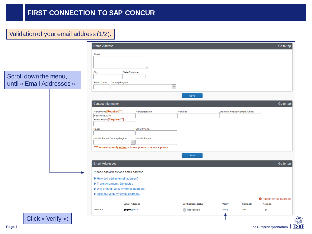#### Validation of your email address (1/2):

|                                                     | <b>Home Address</b>                                              |                                                          |                            |               |                              | Go to top            |
|-----------------------------------------------------|------------------------------------------------------------------|----------------------------------------------------------|----------------------------|---------------|------------------------------|----------------------|
| Scroll down the menu,<br>until « Email Addresses »: | Street<br>City<br>Postal Code                                    | State/Province<br>Country/Region                         | $\sim$<br>Save             |               |                              |                      |
|                                                     | <b>Contact Information</b>                                       |                                                          |                            |               |                              | Go to top            |
|                                                     | Work Phone[Required**]<br>+33476882076<br>Home Phone[Required**] | <b>Work Extension</b>                                    | Work Fax                   |               | 2nd Work Phone/Remote Office |                      |
|                                                     | Pager                                                            | Other Phone                                              |                            |               |                              |                      |
|                                                     | Mobile Phone Country/Region                                      | <b>Mobile Phone</b><br>$\vee$                            |                            |               |                              |                      |
|                                                     |                                                                  | ** You must specify either a home phone or a work phone. |                            |               |                              |                      |
|                                                     |                                                                  |                                                          | Save                       |               |                              |                      |
|                                                     | <b>Email Addresses</b>                                           |                                                          |                            |               |                              | Go to top            |
|                                                     |                                                                  | Please add at least one email address.                   |                            |               |                              |                      |
|                                                     | Travel Arrangers / Delegates                                     | How do I add an email address?                           |                            |               |                              |                      |
|                                                     |                                                                  | ▶ Why should I verify my email address?                  |                            |               |                              |                      |
|                                                     |                                                                  | How do I verify my email address?                        |                            |               |                              | Add an email address |
|                                                     |                                                                  | <b>Email Address</b>                                     | <b>Verification Status</b> | <b>Verify</b> | Contact?                     | <b>Actions</b>       |
|                                                     | Email 1                                                          | <b>pupped@esrf.fr</b>                                    | Not Verified               | Verify        | Yes                          | l                    |
| Click « Verify »:                                   |                                                                  |                                                          |                            |               |                              |                      |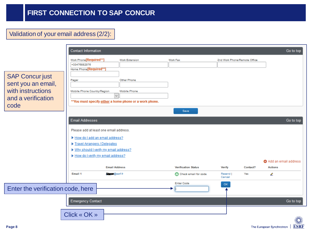#### Validation of your email address (2/2):

|                                                                                                 | <b>Contact Information</b>                                                                                                                                                                                                                                               |                                               |                                                    |                              |                 | Go to top                                                |
|-------------------------------------------------------------------------------------------------|--------------------------------------------------------------------------------------------------------------------------------------------------------------------------------------------------------------------------------------------------------------------------|-----------------------------------------------|----------------------------------------------------|------------------------------|-----------------|----------------------------------------------------------|
| <b>SAP Concur just</b><br>sent you an email,<br>with instructions<br>and a verification<br>code | Work Phone[Required**]<br>+33476882076<br>Home Phone[Required**]<br>Pager<br>Mobile Phone Country/Region<br>$\checkmark$<br>** You must specify either a home phone or a work phone.                                                                                     | Work Extension<br>Other Phone<br>Mobile Phone | Work Fax                                           | 2nd Work Phone/Remote Office |                 |                                                          |
|                                                                                                 |                                                                                                                                                                                                                                                                          |                                               | Save                                               |                              |                 |                                                          |
|                                                                                                 | <b>Email Addresses</b><br>Please add at least one email address.<br>How do I add an email address?<br>Travel Arrangers / Delegates<br>▶ Why should I verify my email address?<br>How do I verify my email address?<br><b>Email Address</b><br>Email 1<br>doctor @esrf.fr |                                               | <b>Verification Status</b><br>Check email for code | Verify<br>Resend             | Contact?<br>Yes | Go to top<br>Add an email address<br><b>Actions</b><br>⇙ |
|                                                                                                 |                                                                                                                                                                                                                                                                          |                                               | <b>Enter Code</b>                                  | Cancel<br>OK.                |                 |                                                          |
| Enter the verification code, here                                                               |                                                                                                                                                                                                                                                                          |                                               |                                                    |                              |                 |                                                          |
|                                                                                                 | <b>Emergency Contact</b>                                                                                                                                                                                                                                                 |                                               |                                                    |                              |                 | Go to top                                                |
|                                                                                                 | Click « OK »                                                                                                                                                                                                                                                             |                                               |                                                    |                              |                 | N.                                                       |

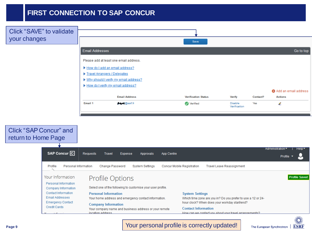| Click "SAVE" to validate<br>your changes |                                         |                      | Save                       |                         |          |                      |
|------------------------------------------|-----------------------------------------|----------------------|----------------------------|-------------------------|----------|----------------------|
|                                          | <b>Email Addresses</b>                  |                      |                            |                         |          | Go to top            |
|                                          | Please add at least one email address.  |                      |                            |                         |          |                      |
|                                          | How do I add an email address?          |                      |                            |                         |          |                      |
|                                          | Travel Arrangers / Delegates            |                      |                            |                         |          |                      |
|                                          | ▶ Why should I verify my email address? |                      |                            |                         |          |                      |
|                                          | How do I verify my email address?       |                      |                            |                         |          | Add an email address |
|                                          |                                         | <b>Email Address</b> | <b>Verification Status</b> | <b>Verify</b>           | Contact? | <b>Actions</b>       |
|                                          | Email 1                                 | <b>DAMI@esrf.fr</b>  | Verified                   | Disable<br>Verification | Yes      | ⇙                    |



Your personal profile is correctly updated!

**ESRF** 

The European Synchrotron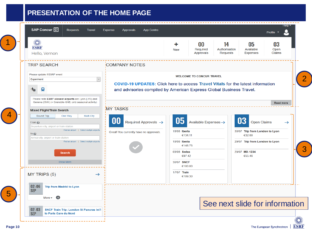#### **PRESENTATION OF THE HOME PAGE**

|                                                                                                                                                                                                                                                                                              |                                                                                                                                                               |                                                                          |                                                                                            |                                                                                                        | Profile $\blacktriangledown$ |
|----------------------------------------------------------------------------------------------------------------------------------------------------------------------------------------------------------------------------------------------------------------------------------------------|---------------------------------------------------------------------------------------------------------------------------------------------------------------|--------------------------------------------------------------------------|--------------------------------------------------------------------------------------------|--------------------------------------------------------------------------------------------------------|------------------------------|
| <b>ESRF</b><br>Hello, Vernon                                                                                                                                                                                                                                                                 |                                                                                                                                                               | ÷<br><b>New</b>                                                          | $\bf{00}$<br>14<br><b>Required</b><br>Authorisation<br><b>Approvals</b><br><b>Requests</b> | 05<br>Available<br><b>Expenses</b>                                                                     | 03<br>Open<br><b>Claims</b>  |
| <b>TRIP SEARCH</b>                                                                                                                                                                                                                                                                           | <b>COMPANY NOTES</b>                                                                                                                                          |                                                                          |                                                                                            |                                                                                                        |                              |
| Please update if ESRF event<br>$\backsim$<br>Experiment<br>乜<br>Я                                                                                                                                                                                                                            | <b>COVID-19 UPDATES:</b> Click here to access Travel Vitals for the latest information<br>and advisories compiled by American Express Global Business Travel. |                                                                          | <b>WELCOME TO CONCUR TRAVEL</b>                                                            |                                                                                                        |                              |
| Please note ESRF closest airports are Lyon (LYS) and<br>Geneva (GVA) (+ Grenoble-GNB, only seasonal activity)                                                                                                                                                                                | <b>MY TASKS</b>                                                                                                                                               |                                                                          |                                                                                            |                                                                                                        | <b>Read more</b>             |
| <b>Mixed Flight/Train Search</b><br>Round Trip<br>One Way<br><b>Multi City</b><br>From $\odot$<br>Departure city, airport or train station<br>Find an airport   Select multiple airports<br>$To$ $Q$<br>Arrival city, airport or train station<br>Find an airport   Select multiple airports | Required Approvals $\rightarrow$<br>Great! You currently have no approvals.                                                                                   | 05<br>18/08 <b>Iberia</b><br>€134.11<br>18/08 Iberia<br>€148.75          | Available Expenses ->                                                                      | 03<br><b>Open Claims</b><br>30/07 Trip from London to Lyon<br>€32.00<br>29/07 Trip from London to Lyon | $\rightarrow$                |
| <b>Search</b><br><b>Show More</b><br>MY TRIPS (5)<br>$\rightarrow$                                                                                                                                                                                                                           |                                                                                                                                                               | 03/08 Swiss<br>€97.42<br>30/07 SNCF<br>€100.00<br>17/07 Train<br>€109.30 |                                                                                            | 29/07 MX-1234<br>€55.46                                                                                |                              |
| $02 - 06$<br><b>Trip from Madrid to Lyon</b><br><b>SEP</b><br>$\bigoplus$<br>More $\blacktriangleright$                                                                                                                                                                                      |                                                                                                                                                               |                                                                          |                                                                                            | See next slide for information                                                                         |                              |
| $02 - 03$<br><b>SNCF Train Trip: London St Pancras Int'l</b><br><b>SEP</b>                                                                                                                                                                                                                   |                                                                                                                                                               |                                                                          |                                                                                            |                                                                                                        |                              |